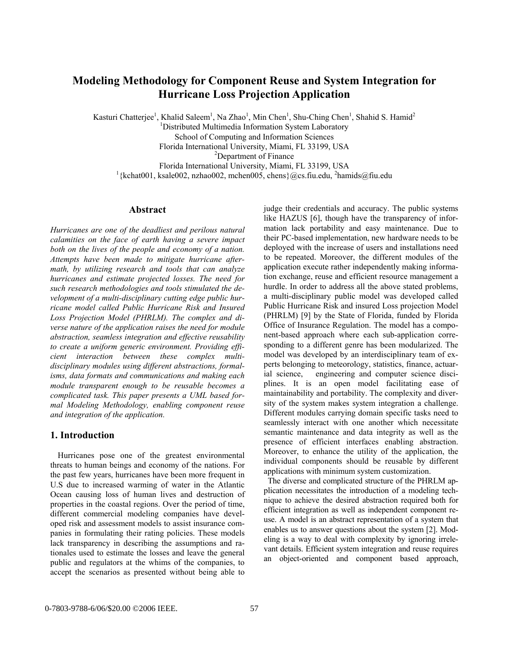# **Modeling Methodology for Component Reuse and System Integration for Hurricane Loss Projection Application**

Kasturi Chatterjee<sup>1</sup>, Khalid Saleem<sup>1</sup>, Na Zhao<sup>1</sup>, Min Chen<sup>1</sup>, Shu-Ching Chen<sup>1</sup>, Shahid S. Hamid<sup>2</sup>

<sup>1</sup>Distributed Multimedia Information System Laboratory

School of Computing and Information Sciences

Florida International University, Miami, FL 33199, USA 2

<sup>2</sup>Department of Finance

Florida International University, Miami, FL 33199, USA 1

{kchat001, ksale002, nzhao002, mchen005, chens}@cs.fiu.edu, <sup>2</sup> hamids@fiu.edu

# **Abstract**

*Hurricanes are one of the deadliest and perilous natural calamities on the face of earth having a severe impact both on the lives of the people and economy of a nation. Attempts have been made to mitigate hurricane aftermath, by utilizing research and tools that can analyze hurricanes and estimate projected losses. The need for such research methodologies and tools stimulated the development of a multi-disciplinary cutting edge public hurricane model called Public Hurricane Risk and Insured Loss Projection Model (PHRLM). The complex and diverse nature of the application raises the need for module abstraction, seamless integration and effective reusability to create a uniform generic environment. Providing efficient interaction between these complex multidisciplinary modules using different abstractions, formalisms, data formats and communications and making each module transparent enough to be reusable becomes a complicated task. This paper presents a UML based formal Modeling Methodology, enabling component reuse and integration of the application.*

# **1. Introduction**

 Hurricanes pose one of the greatest environmental threats to human beings and economy of the nations. For the past few years, hurricanes have been more frequent in U.S due to increased warming of water in the Atlantic Ocean causing loss of human lives and destruction of properties in the coastal regions. Over the period of time, different commercial modeling companies have developed risk and assessment models to assist insurance companies in formulating their rating policies. These models lack transparency in describing the assumptions and rationales used to estimate the losses and leave the general public and regulators at the whims of the companies, to accept the scenarios as presented without being able to

judge their credentials and accuracy. The public systems like HAZUS [6], though have the transparency of information lack portability and easy maintenance. Due to their PC-based implementation, new hardware needs to be deployed with the increase of users and installations need to be repeated. Moreover, the different modules of the application execute rather independently making information exchange, reuse and efficient resource management a hurdle. In order to address all the above stated problems, a multi-disciplinary public model was developed called Public Hurricane Risk and insured Loss projection Model (PHRLM) [9] by the State of Florida, funded by Florida Office of Insurance Regulation. The model has a component-based approach where each sub-application corresponding to a different genre has been modularized. The model was developed by an interdisciplinary team of experts belonging to meteorology, statistics, finance, actuarial science, engineering and computer science disciplines. It is an open model facilitating ease of maintainability and portability. The complexity and diversity of the system makes system integration a challenge. Different modules carrying domain specific tasks need to seamlessly interact with one another which necessitate semantic maintenance and data integrity as well as the presence of efficient interfaces enabling abstraction. Moreover, to enhance the utility of the application, the individual components should be reusable by different applications with minimum system customization.

 The diverse and complicated structure of the PHRLM application necessitates the introduction of a modeling technique to achieve the desired abstraction required both for efficient integration as well as independent component reuse. A model is an abstract representation of a system that enables us to answer questions about the system [2]. Modeling is a way to deal with complexity by ignoring irrelevant details. Efficient system integration and reuse requires an object-oriented and component based approach,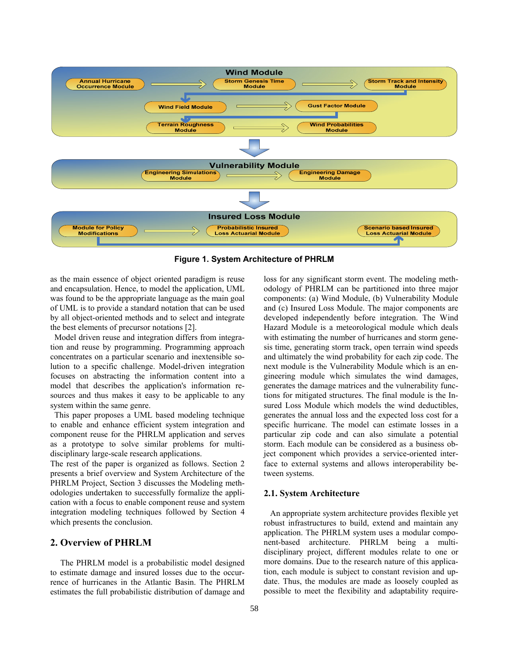

**Figure 1. System Architecture of PHRLM** 

as the main essence of object oriented paradigm is reuse and encapsulation. Hence, to model the application, UML was found to be the appropriate language as the main goal of UML is to provide a standard notation that can be used by all object-oriented methods and to select and integrate the best elements of precursor notations [2].

 Model driven reuse and integration differs from integration and reuse by programming. Programming approach concentrates on a particular scenario and inextensible solution to a specific challenge. Model-driven integration focuses on abstracting the information content into a model that describes the application's information resources and thus makes it easy to be applicable to any system within the same genre.

 This paper proposes a UML based modeling technique to enable and enhance efficient system integration and component reuse for the PHRLM application and serves as a prototype to solve similar problems for multidisciplinary large-scale research applications.

The rest of the paper is organized as follows. Section 2 presents a brief overview and System Architecture of the PHRLM Project, Section 3 discusses the Modeling methodologies undertaken to successfully formalize the application with a focus to enable component reuse and system integration modeling techniques followed by Section 4 which presents the conclusion.

## **2. Overview of PHRLM**

The PHRLM model is a probabilistic model designed to estimate damage and insured losses due to the occurrence of hurricanes in the Atlantic Basin. The PHRLM estimates the full probabilistic distribution of damage and

loss for any significant storm event. The modeling methodology of PHRLM can be partitioned into three major components: (a) Wind Module, (b) Vulnerability Module and (c) Insured Loss Module. The major components are developed independently before integration. The Wind Hazard Module is a meteorological module which deals with estimating the number of hurricanes and storm genesis time, generating storm track, open terrain wind speeds and ultimately the wind probability for each zip code. The next module is the Vulnerability Module which is an engineering module which simulates the wind damages, generates the damage matrices and the vulnerability functions for mitigated structures. The final module is the Insured Loss Module which models the wind deductibles, generates the annual loss and the expected loss cost for a specific hurricane. The model can estimate losses in a particular zip code and can also simulate a potential storm. Each module can be considered as a business object component which provides a service-oriented interface to external systems and allows interoperability between systems.

## **2.1. System Architecture**

 An appropriate system architecture provides flexible yet robust infrastructures to build, extend and maintain any application. The PHRLM system uses a modular component-based architecture. PHRLM being a multidisciplinary project, different modules relate to one or more domains. Due to the research nature of this application, each module is subject to constant revision and update. Thus, the modules are made as loosely coupled as possible to meet the flexibility and adaptability require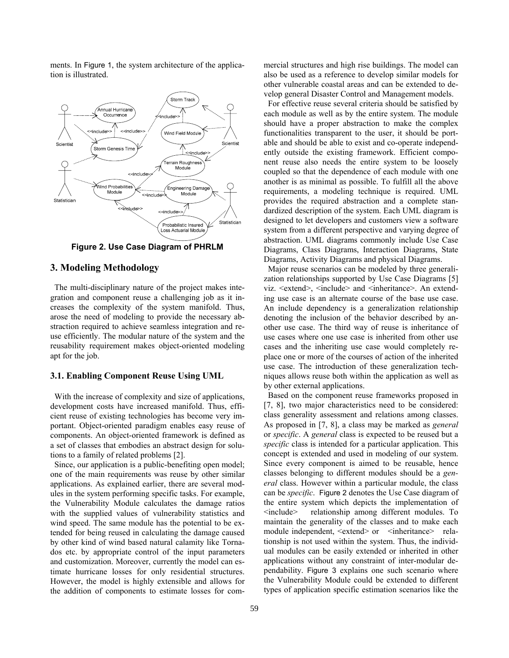ments. In Figure 1, the system architecture of the application is illustrated.



**Figure 2. Use Case Diagram of PHRLM** 

### **3. Modeling Methodology**

 The multi-disciplinary nature of the project makes integration and component reuse a challenging job as it increases the complexity of the system manifold. Thus, arose the need of modeling to provide the necessary abstraction required to achieve seamless integration and reuse efficiently. The modular nature of the system and the reusability requirement makes object-oriented modeling apt for the job.

### **3.1. Enabling Component Reuse Using UML**

 With the increase of complexity and size of applications, development costs have increased manifold. Thus, efficient reuse of existing technologies has become very important. Object-oriented paradigm enables easy reuse of components. An object-oriented framework is defined as a set of classes that embodies an abstract design for solutions to a family of related problems [2].

 Since, our application is a public-benefiting open model; one of the main requirements was reuse by other similar applications. As explained earlier, there are several modules in the system performing specific tasks. For example, the Vulnerability Module calculates the damage ratios with the supplied values of vulnerability statistics and wind speed. The same module has the potential to be extended for being reused in calculating the damage caused by other kind of wind based natural calamity like Tornados etc. by appropriate control of the input parameters and customization. Moreover, currently the model can estimate hurricane losses for only residential structures. However, the model is highly extensible and allows for the addition of components to estimate losses for commercial structures and high rise buildings. The model can also be used as a reference to develop similar models for other vulnerable coastal areas and can be extended to develop general Disaster Control and Management models.

 For effective reuse several criteria should be satisfied by each module as well as by the entire system. The module should have a proper abstraction to make the complex functionalities transparent to the user, it should be portable and should be able to exist and co-operate independently outside the existing framework. Efficient component reuse also needs the entire system to be loosely coupled so that the dependence of each module with one another is as minimal as possible. To fulfill all the above requirements, a modeling technique is required. UML provides the required abstraction and a complete standardized description of the system. Each UML diagram is designed to let developers and customers view a software system from a different perspective and varying degree of abstraction. UML diagrams commonly include Use Case Diagrams, Class Diagrams, Interaction Diagrams, State Diagrams, Activity Diagrams and physical Diagrams.

 Major reuse scenarios can be modeled by three generalization relationships supported by Use Case Diagrams [5] viz. <extend>, <include> and <inheritance>. An extending use case is an alternate course of the base use case. An include dependency is a generalization relationship denoting the inclusion of the behavior described by another use case. The third way of reuse is inheritance of use cases where one use case is inherited from other use cases and the inheriting use case would completely replace one or more of the courses of action of the inherited use case. The introduction of these generalization techniques allows reuse both within the application as well as by other external applications.

 Based on the component reuse frameworks proposed in [7, 8], two major characteristics need to be considered: class generality assessment and relations among classes. As proposed in [7, 8], a class may be marked as *general* or *specific*. A *general* class is expected to be reused but a *specific* class is intended for a particular application. This concept is extended and used in modeling of our system. Since every component is aimed to be reusable, hence classes belonging to different modules should be a *general* class. However within a particular module, the class can be *specific*. Figure 2 denotes the Use Case diagram of the entire system which depicts the implementation of <include> relationship among different modules. To maintain the generality of the classes and to make each module independent,  $\leq$ xtend $>$  or  $\leq$ inheritance $>$  relationship is not used within the system. Thus, the individual modules can be easily extended or inherited in other applications without any constraint of inter-modular dependability. Figure 3 explains one such scenario where the Vulnerability Module could be extended to different types of application specific estimation scenarios like the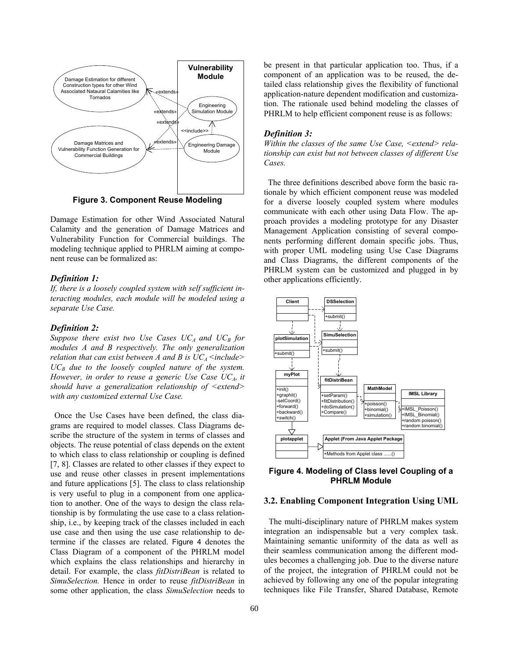

**Figure 3. Component Reuse Modeling** 

Damage Estimation for other Wind Associated Natural Calamity and the generation of Damage Matrices and Vulnerability Function for Commercial buildings. The modeling technique applied to PHRLM aiming at component reuse can be formalized as:

### *Definition 1:*

*If, there is a loosely coupled system with self sufficient interacting modules, each module will be modeled using a separate Use Case.* 

#### *Definition 2:*

Suppose there exist two Use Cases  $UC_A$  and  $UC_B$  for *modules A and B respectively. The only generalization relation that can exist between A and B is*  $UC_A$  *<include>*  $UC_B$  due to the loosely coupled nature of the system. *However, in order to reuse a generic Use Case UC<sub>A</sub>, it should have a generalization relationship of <extend> with any customized external Use Case.*

 Once the Use Cases have been defined, the class diagrams are required to model classes. Class Diagrams describe the structure of the system in terms of classes and objects. The reuse potential of class depends on the extent to which class to class relationship or coupling is defined [7, 8]. Classes are related to other classes if they expect to use and reuse other classes in present implementations and future applications [5]. The class to class relationship is very useful to plug in a component from one application to another. One of the ways to design the class relationship is by formulating the use case to a class relationship, i.e., by keeping track of the classes included in each use case and then using the use case relationship to determine if the classes are related. Figure 4 denotes the Class Diagram of a component of the PHRLM model which explains the class relationships and hierarchy in detail. For example, the class *fitDistriBean* is related to *SimuSelection.* Hence in order to reuse *fitDistriBean* in some other application, the class *SimuSelection* needs to

be present in that particular application too. Thus, if a component of an application was to be reused, the detailed class relationship gives the flexibility of functional application-nature dependent modification and customization. The rationale used behind modeling the classes of PHRLM to help efficient component reuse is as follows:

#### *Definition 3:*

*Within the classes of the same Use Case, <extend> relationship can exist but not between classes of different Use Cases.* 

 The three definitions described above form the basic rationale by which efficient component reuse was modeled for a diverse loosely coupled system where modules communicate with each other using Data Flow. The approach provides a modeling prototype for any Disaster Management Application consisting of several components performing different domain specific jobs. Thus, with proper UML modeling using Use Case Diagrams and Class Diagrams, the different components of the PHRLM system can be customized and plugged in by other applications efficiently.



**Figure 4. Modeling of Class level Coupling of a PHRLM Module** 

### **3.2. Enabling Component Integration Using UML**

 The multi-disciplinary nature of PHRLM makes system integration an indispensable but a very complex task. Maintaining semantic uniformity of the data as well as their seamless communication among the different modules becomes a challenging job. Due to the diverse nature of the project, the integration of PHRLM could not be achieved by following any one of the popular integrating techniques like File Transfer, Shared Database, Remote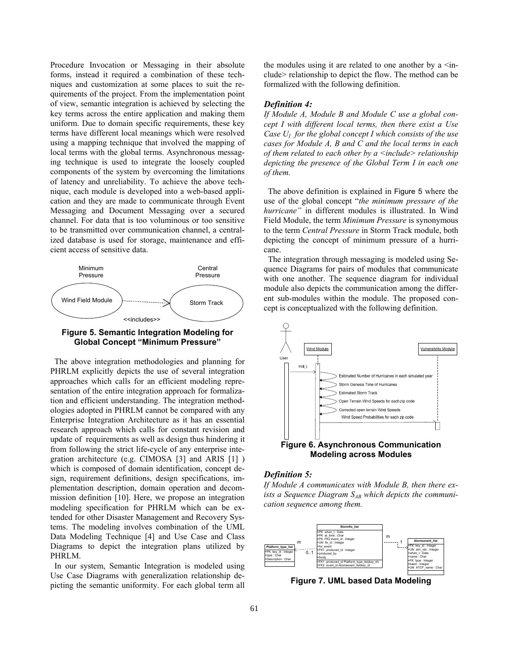Procedure Invocation or Messaging in their absolute forms, instead it required a combination of these techniques and customization at some places to suit the requirements of the project. From the implementation point of view, semantic integration is achieved by selecting the key terms across the entire application and making them uniform. Due to domain specific requirements, these key terms have different local meanings which were resolved using a mapping technique that involved the mapping of local terms with the global terms. Asynchronous messaging technique is used to integrate the loosely coupled components of the system by overcoming the limitations of latency and unreliability. To achieve the above technique, each module is developed into a web-based application and they are made to communicate through Event Messaging and Document Messaging over a secured channel. For data that is too voluminous or too sensitive to be transmitted over communication channel, a centralized database is used for storage, maintenance and efficient access of sensitive data.



## **Figure 5. Semantic Integration Modeling for Global Concept "Minimum Pressure"**

 The above integration methodologies and planning for PHRLM explicitly depicts the use of several integration approaches which calls for an efficient modeling representation of the entire integration approach for formalization and efficient understanding. The integration methodologies adopted in PHRLM cannot be compared with any Enterprise Integration Architecture as it has an essential research approach which calls for constant revision and update of requirements as well as design thus hindering it from following the strict life-cycle of any enterprise integration architecture (e.g. CIMOSA [3] and ARIS [1] ) which is composed of domain identification, concept design, requirement definitions, design specifications, implementation description, domain operation and decommission definition [10]. Here, we propose an integration modeling specification for PHRLM which can be extended for other Disaster Management and Recovery Systems. The modeling involves combination of the UML Data Modeling Technique [4] and Use Case and Class Diagrams to depict the integration plans utilized by PHRLM.

 In our system, Semantic Integration is modeled using Use Case Diagrams with generalization relationship depicting the semantic uniformity. For each global term all

the modules using it are related to one another by a  $\leq$  include> relationship to depict the flow. The method can be formalized with the following definition.

### *Definition 4:*

*If Module A, Module B and Module C use a global concept I with different local terms, then there exist a Use Case U<sub>I</sub> for the global concept I which consists of the use cases for Module A, B and C and the local terms in each of them related to each other by a <include> relationship depicting the presence of the Global Term I in each one of them.* 

 The above definition is explained in Figure 5 where the use of the global concept "*the minimum pressure of the hurricane"* in different modules is illustrated. In Wind Field Module, the term *Minimum Pressure* is synonymous to the term *Central Pressure* in Storm Track module, both depicting the concept of minimum pressure of a hurricane.

 The integration through messaging is modeled using Sequence Diagrams for pairs of modules that communicate with one another. The sequence diagram for individual module also depicts the communication among the different sub-modules within the module. The proposed concept is conceptualized with the following definition.



### *Definition 5:*

*If Module A communicates with Module B, then there ex*ists a Sequence Diagram S<sub>AB</sub> which depicts the communi*cation sequence among them.* 



**Figure 7. UML based Data Modeling**